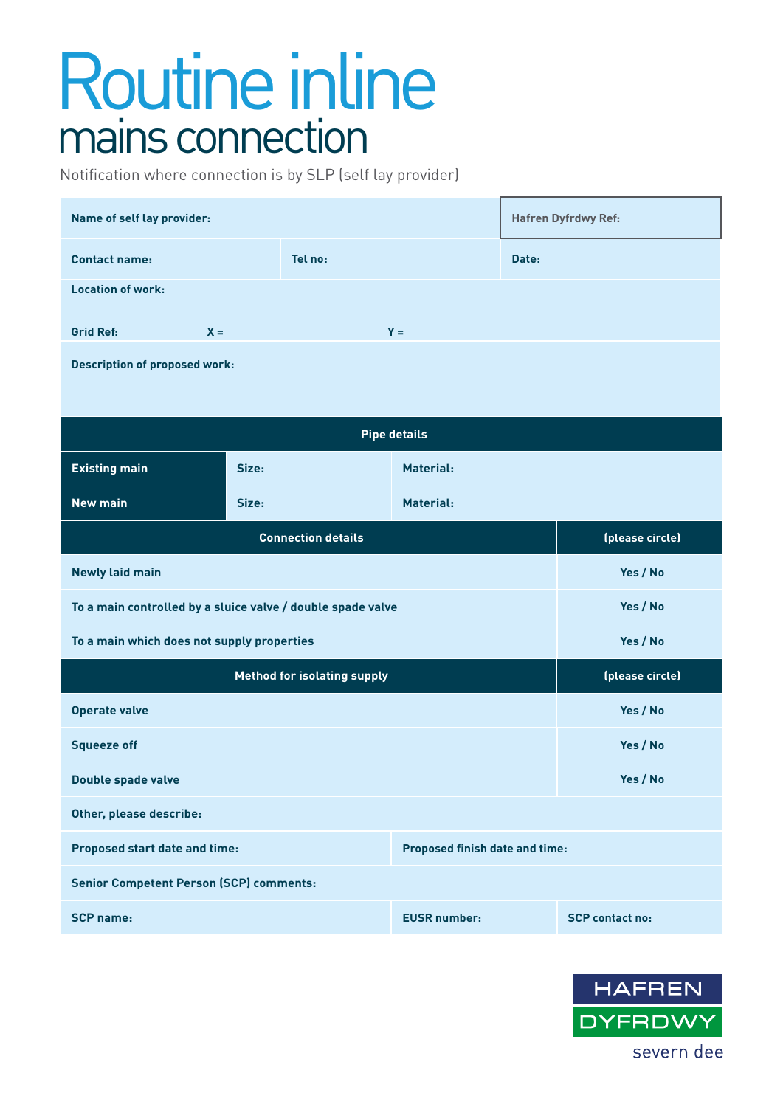## Routine inline mains connection

Notification where connection is by SLP (self lay provider)

| Name of self lay provider:                                             |         |           | <b>Hafren Dyfrdwy Ref:</b> |                 |                        |  |
|------------------------------------------------------------------------|---------|-----------|----------------------------|-----------------|------------------------|--|
| <b>Contact name:</b>                                                   | Tel no: |           |                            | Date:           |                        |  |
| <b>Location of work:</b>                                               |         |           |                            |                 |                        |  |
| <b>Grid Ref:</b><br>$X =$                                              |         | $Y =$     |                            |                 |                        |  |
| <b>Description of proposed work:</b>                                   |         |           |                            |                 |                        |  |
|                                                                        |         |           |                            |                 |                        |  |
| <b>Pipe details</b>                                                    |         |           |                            |                 |                        |  |
| <b>Existing main</b>                                                   | Size:   | Material: |                            |                 |                        |  |
| <b>New main</b>                                                        | Size:   |           | <b>Material:</b>           |                 |                        |  |
| <b>Connection details</b>                                              |         |           |                            | (please circle) |                        |  |
| <b>Newly laid main</b>                                                 |         |           |                            |                 | Yes / No               |  |
| To a main controlled by a sluice valve / double spade valve            |         |           |                            |                 | Yes / No               |  |
| To a main which does not supply properties                             |         |           |                            | Yes / No        |                        |  |
| <b>Method for isolating supply</b>                                     |         |           |                            | (please circle) |                        |  |
| <b>Operate valve</b>                                                   |         |           |                            |                 | Yes / No               |  |
| <b>Squeeze off</b>                                                     |         |           |                            |                 | Yes / No               |  |
| <b>Double spade valve</b>                                              |         |           |                            |                 | Yes / No               |  |
| Other, please describe:                                                |         |           |                            |                 |                        |  |
| <b>Proposed finish date and time:</b><br>Proposed start date and time: |         |           |                            |                 |                        |  |
| <b>Senior Competent Person (SCP) comments:</b>                         |         |           |                            |                 |                        |  |
| <b>SCP name:</b>                                                       |         |           | <b>EUSR number:</b>        |                 | <b>SCP contact no:</b> |  |